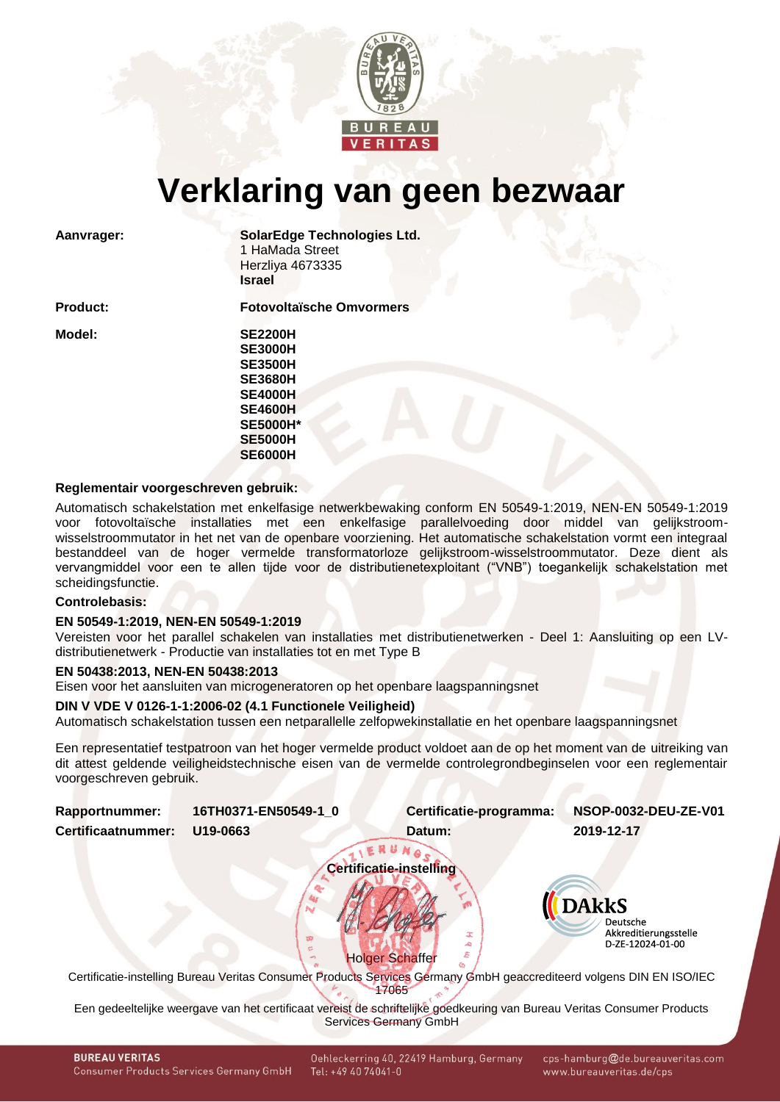

# **Verklaring van geen bezwaar**

**Aanvrager: SolarEdge Technologies Ltd.** 1 HaMada Street Herzliya 4673335 **Israel**

**Product: Fotovoltaïsche Omvormers**

**Model: SE2200H SE3000H SE3500H SE3680H SE4000H SE4600H SE5000H\* SE5000H SE6000H**

#### **Reglementair voorgeschreven gebruik:**

Automatisch schakelstation met enkelfasige netwerkbewaking conform EN 50549-1:2019, NEN-EN 50549-1:2019 voor fotovoltaïsche installaties met een enkelfasige parallelvoeding door middel van gelijkstroomwisselstroommutator in het net van de openbare voorziening. Het automatische schakelstation vormt een integraal bestanddeel van de hoger vermelde transformatorloze gelijkstroom-wisselstroommutator. Deze dient als vervangmiddel voor een te allen tijde voor de distributienetexploitant ("VNB") toegankelijk schakelstation met scheidingsfunctie.

## **Controlebasis:**

#### **EN 50549-1:2019, NEN-EN 50549-1:2019**

Vereisten voor het parallel schakelen van installaties met distributienetwerken - Deel 1: Aansluiting op een LVdistributienetwerk - Productie van installaties tot en met Type B

#### **EN 50438:2013, NEN-EN 50438:2013**

Eisen voor het aansluiten van microgeneratoren op het openbare laagspanningsnet

### **DIN V VDE V 0126-1-1:2006-02 (4.1 Functionele Veiligheid)**

Automatisch schakelstation tussen een netparallelle zelfopwekinstallatie en het openbare laagspanningsnet

Een representatief testpatroon van het hoger vermelde product voldoet aan de op het moment van de uitreiking van dit attest geldende veiligheidstechnische eisen van de vermelde controlegrondbeginselen voor een reglementair voorgeschreven gebruik.

**Certificatie-instelling**

<span id="page-0-1"></span><span id="page-0-0"></span>

| <b>Rapportnummer:</b> | 16TH0371-EN50549-1 0 | Certificatie-programma: | NSOP-0032-DEU-ZE-V01 |  |  |  |
|-----------------------|----------------------|-------------------------|----------------------|--|--|--|
| Certificaatnummer:    | U19-0663             | Datum:                  | 2019-12-17           |  |  |  |
| TIERUNGS              |                      |                         |                      |  |  |  |



**Holger Schaffer** 

Certificatie-instelling Bureau Veritas Consumer Products Services Germany GmbH geaccrediteerd volgens DIN EN ISO/IEC 17065

Een gedeeltelijke weergave van het certificaat vereist de schriftelijke goedkeuring van Bureau Veritas Consumer Products Services Germany GmbH

Oehleckerring 40, 22419 Hamburg, Germany Tel: +49 40 74041-0

cps-hamburg@de.bureauveritas.com www.bureauveritas.de/cps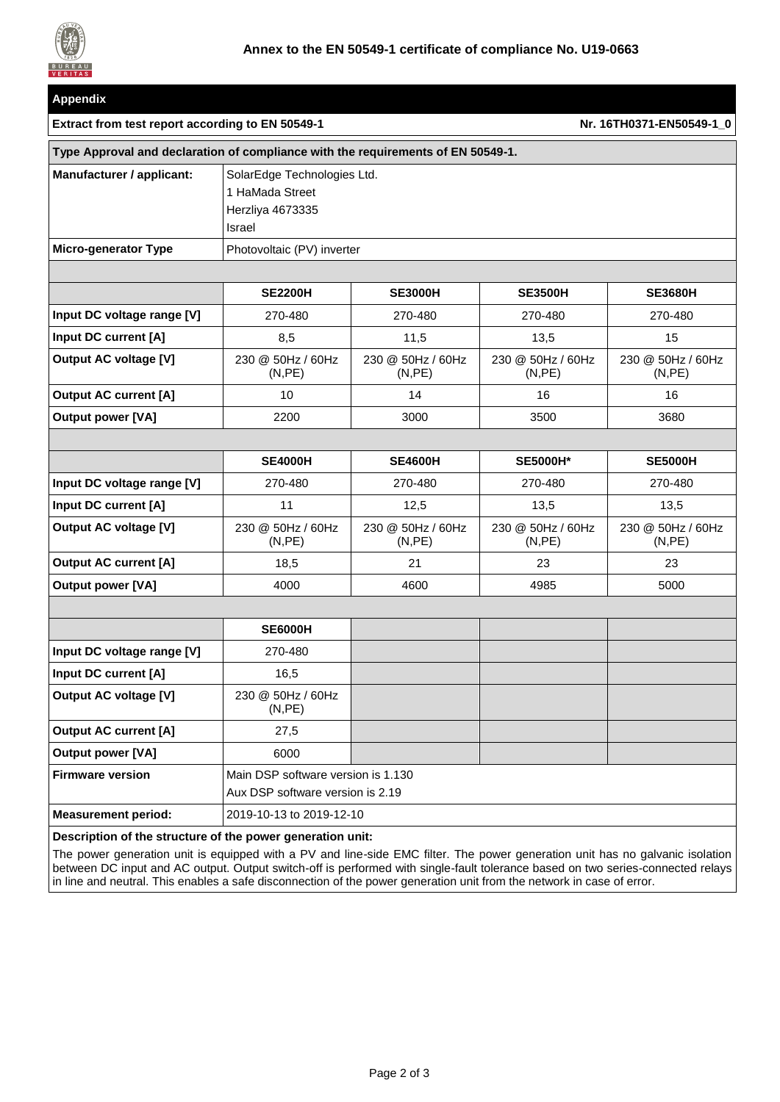

| <b>Appendix</b>                                                                  |                                                                              |                              |                              |                              |  |
|----------------------------------------------------------------------------------|------------------------------------------------------------------------------|------------------------------|------------------------------|------------------------------|--|
| Extract from test report according to EN 50549-1<br>Nr. 16TH0371-EN50549-1_0     |                                                                              |                              |                              |                              |  |
| Type Approval and declaration of compliance with the requirements of EN 50549-1. |                                                                              |                              |                              |                              |  |
| Manufacturer / applicant:                                                        | SolarEdge Technologies Ltd.<br>1 HaMada Street<br>Herzliya 4673335<br>Israel |                              |                              |                              |  |
| <b>Micro-generator Type</b>                                                      | Photovoltaic (PV) inverter                                                   |                              |                              |                              |  |
|                                                                                  |                                                                              |                              |                              |                              |  |
|                                                                                  | <b>SE2200H</b>                                                               | <b>SE3000H</b>               | <b>SE3500H</b>               | <b>SE3680H</b>               |  |
| Input DC voltage range [V]                                                       | 270-480                                                                      | 270-480                      | 270-480                      | 270-480                      |  |
| Input DC current [A]                                                             | 8,5                                                                          | 11,5                         | 13,5                         | 15                           |  |
| <b>Output AC voltage [V]</b>                                                     | 230 @ 50Hz / 60Hz<br>(N, PE)                                                 | 230 @ 50Hz / 60Hz<br>(N, PE) | 230 @ 50Hz / 60Hz<br>(N, PE) | 230 @ 50Hz / 60Hz<br>(N, PE) |  |
| <b>Output AC current [A]</b>                                                     | 10                                                                           | 14                           | 16                           | 16                           |  |
| <b>Output power [VA]</b>                                                         | 2200                                                                         | 3000                         | 3500                         | 3680                         |  |
|                                                                                  |                                                                              |                              |                              |                              |  |
|                                                                                  | <b>SE4000H</b>                                                               | <b>SE4600H</b>               | <b>SE5000H*</b>              | <b>SE5000H</b>               |  |
| Input DC voltage range [V]                                                       | 270-480                                                                      | 270-480                      | 270-480                      | 270-480                      |  |
| Input DC current [A]                                                             | 11                                                                           | 12,5                         | 13,5                         | 13,5                         |  |
| <b>Output AC voltage [V]</b>                                                     | 230 @ 50Hz / 60Hz<br>(N, PE)                                                 | 230 @ 50Hz / 60Hz<br>(N, PE) | 230 @ 50Hz / 60Hz<br>(N, PE) | 230 @ 50Hz / 60Hz<br>(N,PE)  |  |
| <b>Output AC current [A]</b>                                                     | 18,5                                                                         | 21                           | 23                           | 23                           |  |
| <b>Output power [VA]</b>                                                         | 4000                                                                         | 4600                         | 4985                         | 5000                         |  |
|                                                                                  |                                                                              |                              |                              |                              |  |
|                                                                                  | <b>SE6000H</b>                                                               |                              |                              |                              |  |
| Input DC voltage range [V]                                                       | 270-480                                                                      |                              |                              |                              |  |
| Input DC current [A]                                                             | 16,5                                                                         |                              |                              |                              |  |
| <b>Output AC voltage [V]</b>                                                     | 230 @ 50Hz / 60Hz<br>(N, PE)                                                 |                              |                              |                              |  |
| <b>Output AC current [A]</b>                                                     | 27,5                                                                         |                              |                              |                              |  |
| <b>Output power [VA]</b>                                                         | 6000                                                                         |                              |                              |                              |  |
| <b>Firmware version</b>                                                          | Main DSP software version is 1.130<br>Aux DSP software version is 2.19       |                              |                              |                              |  |
| <b>Measurement period:</b>                                                       | 2019-10-13 to 2019-12-10                                                     |                              |                              |                              |  |

**Description of the structure of the power generation unit:**

The power generation unit is equipped with a PV and line-side EMC filter. The power generation unit has no galvanic isolation between DC input and AC output. Output switch-off is performed with single-fault tolerance based on two series-connected relays in line and neutral. This enables a safe disconnection of the power generation unit from the network in case of error.